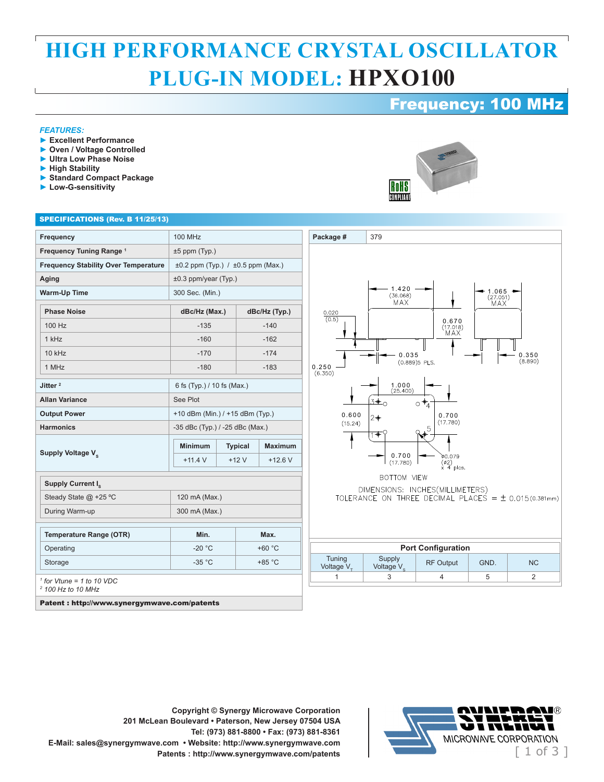## **HIGH PERFORMANCE CRYSTAL OSCILLATOR PLUG-IN MODEL: HPXO100**

### Frequency: 100 MHz

#### *FEATURES:*

- **► Excellent Performance**
- **► Oven / Voltage Controlled**
- **► Ultra Low Phase Noise**
- **► High Stability**
- **► Standard Compact Package**
- **► Low-G-sensitivity**

# RoHS COMPLIANT

#### SPECIFICATIONS (Rev. B 11/25/13)

| <b>Frequency</b>                                             | <b>100 MHz</b>                              |  |                |                |
|--------------------------------------------------------------|---------------------------------------------|--|----------------|----------------|
| Frequency Tuning Range <sup>1</sup>                          | $±5$ ppm (Typ.)                             |  |                |                |
| <b>Frequency Stability Over Temperature</b>                  | $\pm 0.2$ ppm (Typ.) / $\pm 0.5$ ppm (Max.) |  |                |                |
| Aging                                                        | $±0.3$ ppm/year (Typ.)                      |  |                |                |
| <b>Warm-Up Time</b>                                          | 300 Sec. (Min.)                             |  |                |                |
| <b>Phase Noise</b>                                           | dBc/Hz (Max.)                               |  | dBc/Hz (Typ.)  |                |
| 100 Hz                                                       | $-135$                                      |  | $-140$         |                |
| 1 kHz                                                        | $-160$                                      |  | $-162$         |                |
| $10$ kHz                                                     | $-170$                                      |  | $-174$         |                |
| 1 MHz                                                        | $-180$                                      |  | $-183$         |                |
| Jitter <sup>2</sup>                                          | 6 fs (Typ.) / 10 fs (Max.)                  |  |                |                |
| <b>Allan Variance</b>                                        | See Plot                                    |  |                |                |
| <b>Output Power</b>                                          | +10 dBm (Min.) / +15 dBm (Typ.)             |  |                |                |
| <b>Harmonics</b>                                             | -35 dBc (Typ.) / -25 dBc (Max.)             |  |                |                |
| Supply Voltage V.                                            | <b>Minimum</b>                              |  | <b>Typical</b> | <b>Maximum</b> |
|                                                              | $+11.4$ V                                   |  | $+12V$         | $+12.6$ V      |
| Supply Current I <sub>c</sub>                                |                                             |  |                |                |
| Steady State @ +25 °C                                        | 120 mA (Max.)                               |  |                |                |
| During Warm-up                                               | 300 mA (Max.)                               |  |                |                |
| <b>Temperature Range (OTR)</b>                               | Min.<br>Max.                                |  |                |                |
| Operating                                                    | $-20 °C$                                    |  | +60 °C         |                |
| Storage                                                      | $-35 °C$                                    |  | $+85 °C$       |                |
| $1$ for Vtune = 1 to 10 VDC<br><sup>2</sup> 100 Hz to 10 MHz |                                             |  |                |                |

Patent : http://www.synergymwave.com/patents





**Copyright © Synergy Microwave Corporation 201 McLean Boulevard • Paterson, New Jersey 07504 USA Tel: (973) 881-8800 • Fax: (973) 881-8361 E-Mail: sales@synergymwave.com • Website: http://www.synergymwave.com**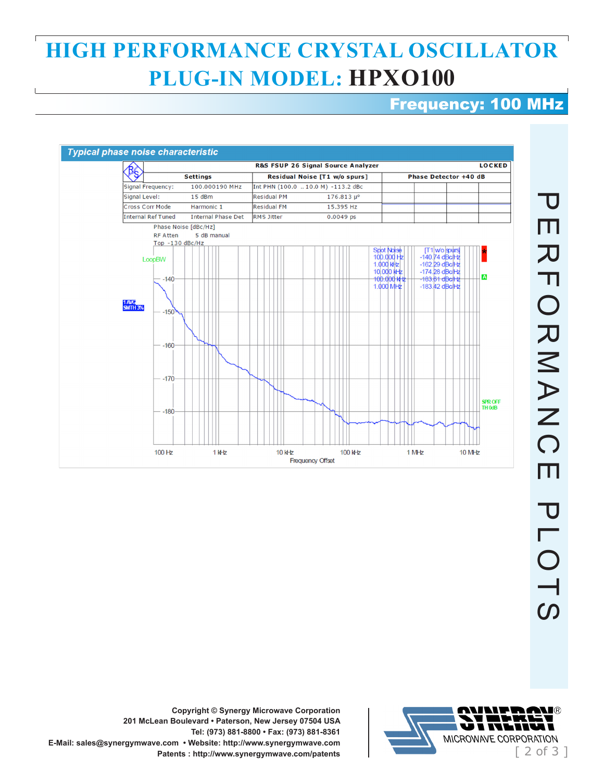## **HIGH PERFORMANCE CRYSTAL OSCILLATOR PLUG-IN MODEL: HPXO100**

### Frequency: 100 MHz





**Copyright © Synergy Microwave Corporation 201 McLean Boulevard • Paterson, New Jersey 07504 USA Tel: (973) 881-8800 • Fax: (973) 881-8361 E-Mail: sales@synergymwave.com • Website: http://www.synergymwave.com**